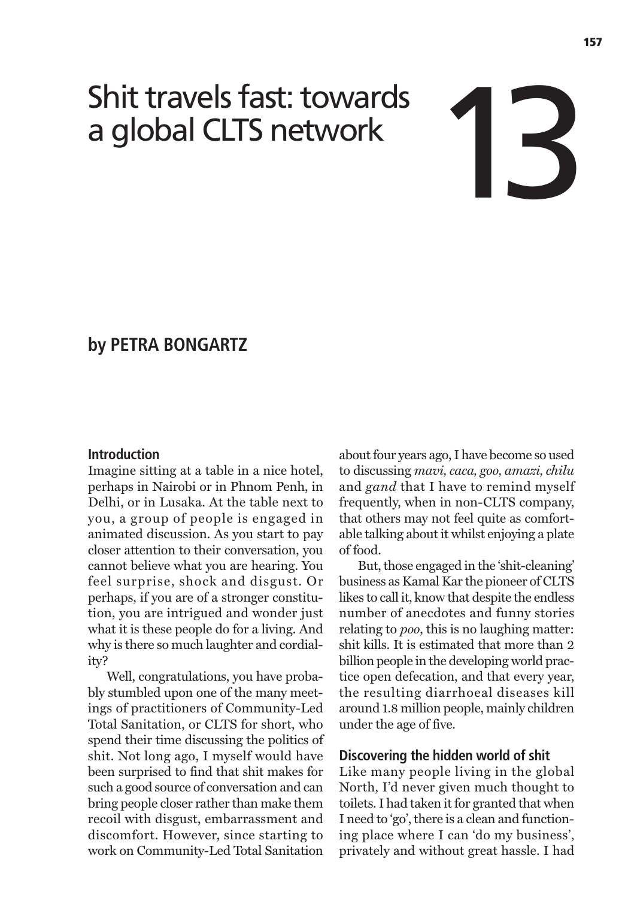# Shit travels fast: towards<br>
a global CLTS network

# **by PETRA BONGARTZ**

# **Introduction**

Imagine sitting at a table in a nice hotel, perhaps in Nairobi or in Phnom Penh, in Delhi, or in Lusaka. At the table next to you, a group of people is engaged in animated discussion. As you start to pay closer attention to their conversation, you cannot believe what you are hearing. You feel surprise, shock and disgust. Or perhaps, if you are of a stronger constitution, you are intrigued and wonder just what it is these people do for a living. And why is there so much laughter and cordiality?

Well, congratulations, you have probably stumbled upon one of the many meetings of practitioners of Community-Led Total Sanitation, or CLTS for short, who spend their time discussing the politics of shit. Not long ago, I myself would have been surprised to find that shit makes for such a good source of conversation and can bring people closer rather than make them recoil with disgust, embarrassment and discomfort. However, since starting to work on Community-Led Total Sanitation

about four years ago, I have become so used to discussing *mavi, caca, goo, amazi, chilu* and *gand* that I have to remind myself frequently, when in non-CLTS company, that others may not feel quite as comfortable talking about it whilst enjoying a plate of food.

But, those engaged in the 'shit-cleaning' business as Kamal Kar the pioneer of CLTS likes to call it, know that despite the endless number of anecdotes and funny stories relating to *poo*, this is no laughing matter: shit kills. It is estimated that more than 2 billion people in the developing world practice open defecation, and that every year, the resulting diarrhoeal diseases kill around 1.8 million people, mainly children under the age of five.

#### **Discovering the hidden world of shit**

Like many people living in the global North, I'd never given much thought to toilets. I had taken it for granted that when I need to 'go', there is a clean and functioning place where I can 'do my business', privately and without great hassle. I had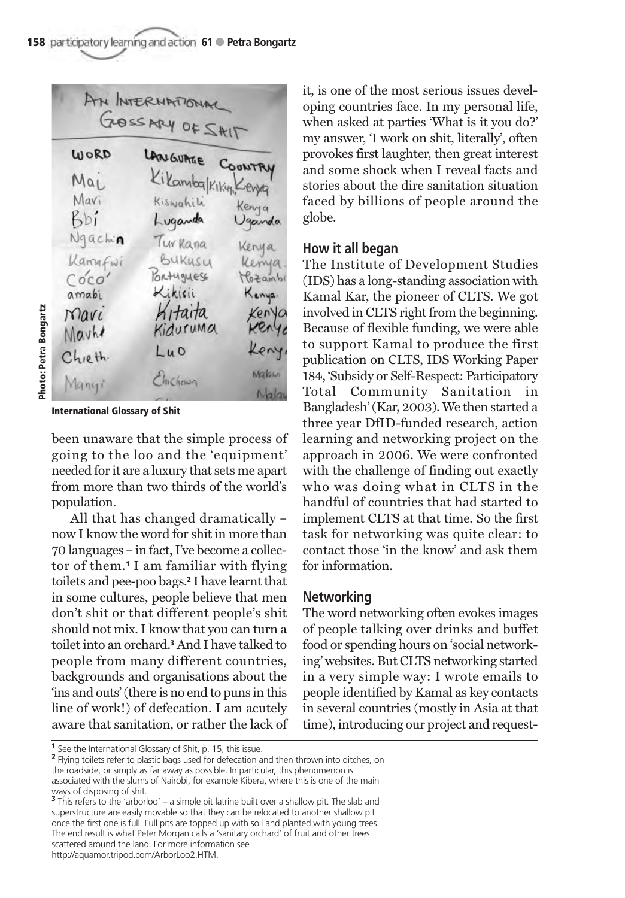AN INTERNATIONA GOSSMY OF SAIT LANGUAGE COONTRY WORD Mai Mavi Kenya  $Rb'$ Uganda Luganda Ngachin Turkana Kenya Kamafwi BUKUSU Kenya PORTUGUESE Mozambi Coco amabi Kenya.  $N$ *QVL*  $Lu$ <sup>O</sup>  $Chieth$ Makim Chicheun Many  $N$ alai

**International Glossary of Shit**

been unaware that the simple process of going to the loo and the 'equipment' needed for it are a luxury that sets me apart from more than two thirds of the world's population.

All that has changed dramatically – now I know the word for shit in more than 70 languages – in fact, I've become a collector of them.**<sup>1</sup>** I am familiar with flying toilets and pee-poo bags.**<sup>2</sup>** I have learnt that in some cultures, people believe that men don't shit or that different people's shit should not mix. I know that you can turn a toilet into an orchard.**<sup>3</sup>** And I have talked to people from many different countries, backgrounds and organisations about the 'ins and outs' (there is no end to puns in this line of work!) of defecation. I am acutely aware that sanitation, or rather the lack of it, is one of the most serious issues developing countries face. In my personal life, when asked at parties 'What is it you do?' my answer, 'I work on shit, literally', often provokes first laughter, then great interest and some shock when I reveal facts and stories about the dire sanitation situation faced by billions of people around the globe.

# **How it all began**

The Institute of Development Studies (IDS) has a long-standing association with Kamal Kar, the pioneer of CLTS. We got involved in CLTS right from the beginning. Because of flexible funding, we were able to support Kamal to produce the first publication on CLTS, IDS Working Paper 184, 'Subsidy or Self-Respect: Participatory Total Community Sanitation in Bangladesh' (Kar, 2003). We then started a three year DfID-funded research, action learning and networking project on the approach in 2006. We were confronted with the challenge of finding out exactly who was doing what in CLTS in the handful of countries that had started to implement CLTS at that time. So the first task for networking was quite clear: to contact those 'in the know' and ask them for information.

# **Networking**

The word networking often evokes images of people talking over drinks and buffet food or spending hours on 'social networking' websites. But CLTS networking started in a very simple way: I wrote emails to people identified by Kamal as key contacts in several countries (mostly in Asia at that time), introducing our project and request-

**<sup>2</sup>** Flying toilets refer to plastic bags used for defecation and then thrown into ditches, on the roadside, or simply as far away as possible. In particular, this phenomenon is associated with the slums of Nairobi, for example Kibera, where this is one of the main ways of disposing of shit.

http://aquamor.tripod.com/ArborLoo2.HTM.

**<sup>1</sup>** See the International Glossary of Shit, p. 15, this issue.

**<sup>3</sup>** This refers to the 'arborloo' – a simple pit latrine built over a shallow pit. The slab and superstructure are easily movable so that they can be relocated to another shallow pit once the first one is full. Full pits are topped up with soil and planted with young trees. The end result is what Peter Morgan calls a 'sanitary orchard' of fruit and other trees scattered around the land. For more information see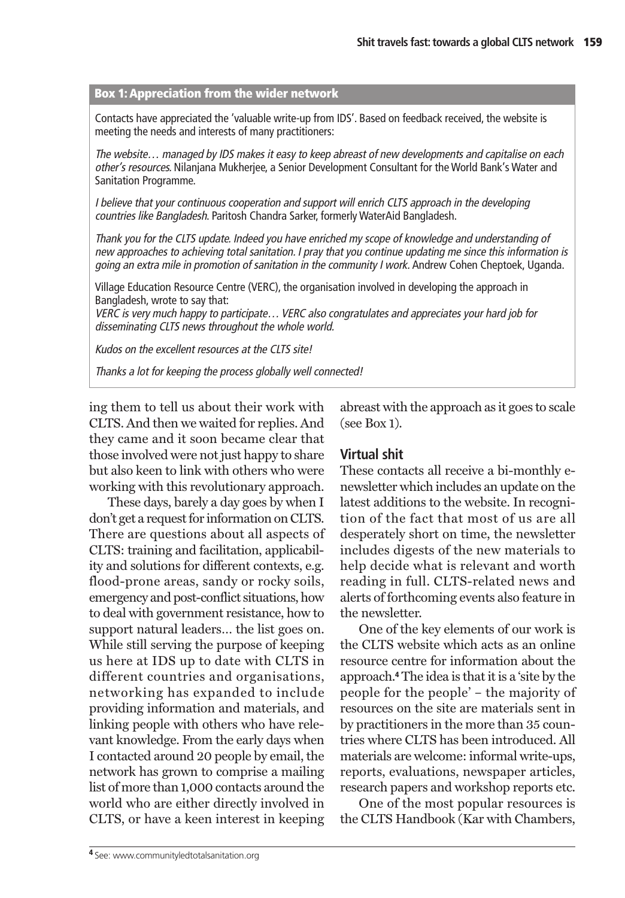#### **Box 1: Appreciation from the wider network**

Contacts have appreciated the 'valuable write-up from IDS'. Based on feedback received, the website is meeting the needs and interests of many practitioners:

The website… managed by IDS makes it easy to keep abreast of new developments and capitalise on each other's resources. Nilanjana Mukherjee, a Senior Development Consultant for the World Bank's Water and Sanitation Programme.

I believe that your continuous cooperation and support will enrich CLTS approach in the developing countries like Bangladesh. Paritosh Chandra Sarker, formerly WaterAid Bangladesh.

Thank you for the CLTS update. Indeed you have enriched my scope of knowledge and understanding of new approaches to achieving total sanitation. I pray that you continue updating me since this information is going an extra mile in promotion of sanitation in the community I work. Andrew Cohen Cheptoek, Uganda.

Village Education Resource Centre (VERC), the organisation involved in developing the approach in Bangladesh, wrote to say that:

VERC is very much happy to participate… VERC also congratulates and appreciates your hard job for disseminating CLTS news throughout the whole world.

Kudos on the excellent resources at the CLTS site!

Thanks a lot for keeping the process globally well connected!

ing them to tell us about their work with CLTS. And then we waited for replies. And they came and it soon became clear that those involved were not just happy to share but also keen to link with others who were working with this revolutionary approach.

These days, barely a day goes by when I don't get a request for information on CLTS. There are questions about all aspects of CLTS: training and facilitation, applicability and solutions for different contexts, e.g. flood-prone areas, sandy or rocky soils, emergency and post-conflict situations, how to deal with government resistance, how to support natural leaders… the list goes on. While still serving the purpose of keeping us here at IDS up to date with CLTS in different countries and organisations, networking has expanded to include providing information and materials, and linking people with others who have relevant knowledge. From the early days when I contacted around 20 people by email, the network has grown to comprise a mailing list of more than 1,000 contacts around the world who are either directly involved in CLTS, or have a keen interest in keeping

abreast with the approach as it goes to scale (see Box 1).

# **Virtual shit**

These contacts all receive a bi-monthly enewsletter which includes an update on the latest additions to the website. In recognition of the fact that most of us are all desperately short on time, the newsletter includes digests of the new materials to help decide what is relevant and worth reading in full. CLTS-related news and alerts of forthcoming events also feature in the newsletter.

One of the key elements of our work is the CLTS website which acts as an online resource centre for information about the approach.**<sup>4</sup>** The idea is that it is a 'site by the people for the people' – the majority of resources on the site are materials sent in by practitioners in the more than 35 countries where CLTS has been introduced. All materials are welcome: informal write-ups, reports, evaluations, newspaper articles, research papers and workshop reports etc.

One of the most popular resources is the CLTS Handbook (Kar with Chambers,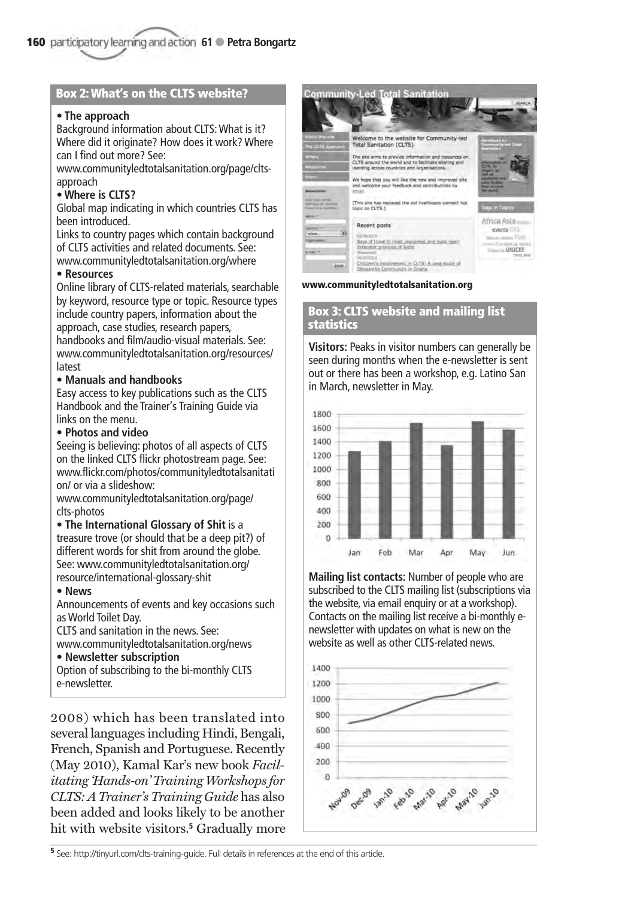#### **Box 2: What's on the CLTS website?**

#### **• The approach**

Background information about CLTS: What is it? Where did it originate? How does it work? Where can I find out more? See:

www.communityledtotalsanitation.org/page/cltsapproach

#### **• Where is CLTS?**

Global map indicating in which countries CLTS has been introduced.

Links to country pages which contain background of CLTS activities and related documents. See: www.communityledtotalsanitation.org/where

#### **• Resources**

Online library of CLTS-related materials, searchable by keyword, resource type or topic. Resource types include country papers, information about the approach, case studies, research papers, handbooks and film/audio-visual materials. See: www.communityledtotalsanitation.org/resources/ latest

#### **• Manuals and handbooks**

Easy access to key publications such as the CLTS Handbook and the Trainer's Training Guide via links on the menu.

#### **• Photos and video**

Seeing is believing: photos of all aspects of CLTS on the linked CLTS flickr photostream page. See: www.flickr.com/photos/communityledtotalsanitati on/ or via a slideshow:

www.communityledtotalsanitation.org/page/ clts-photos

#### • **The International Glossary of Shit** is a

treasure trove (or should that be a deep pit?) of different words for shit from around the globe. See: www.communityledtotalsanitation.org/ resource/international-glossary-shit

#### **• News**

Announcements of events and key occasions such as World Toilet Day.

CLTS and sanitation in the news. See: www.communityledtotalsanitation.org/news

#### **• Newsletter subscription**

Option of subscribing to the bi-monthly CLTS e-newsletter.

2008) which has been translated into several languages including Hindi, Bengali, French, Spanish and Portuguese. Recently (May 2010), Kamal Kar's new book *Facilitating 'Hands-on' Training Workshops for CLTS: A Trainer's Training Guide* has also been added and looks likely to be another hit with website visitors.**<sup>5</sup>** Gradually more



**www.communityledtotalsanitation.org**

#### **Box 3: CLTS website and mailing list statistics**

**Visitors:** Peaks in visitor numbers can generally be seen during months when the e-newsletter is sent out or there has been a workshop, e.g. Latino San in March, newsletter in May.



**Mailing list contacts:** Number of people who are subscribed to the CLTS mailing list (subscriptions via the website, via email enquiry or at a workshop). Contacts on the mailing list receive a bi-monthly enewsletter with updates on what is new on the website as well as other CLTS-related news.



**<sup>5</sup>** See: http://tinyurl.com/clts-training-guide. Full details in references at the end of this article.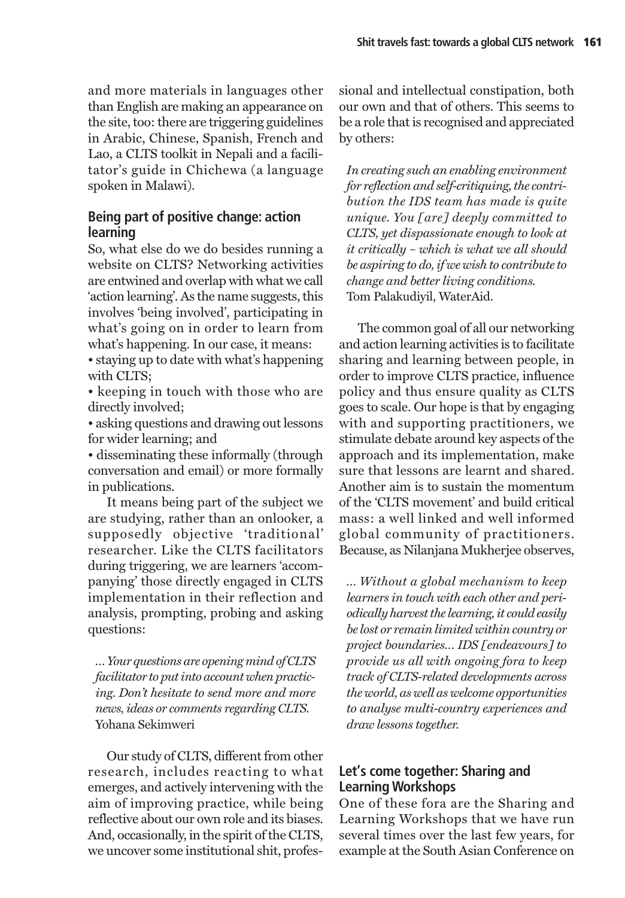and more materials in languages other than English are making an appearance on the site, too: there are triggering guidelines in Arabic, Chinese, Spanish, French and Lao, a CLTS toolkit in Nepali and a facilitator's guide in Chichewa (a language spoken in Malawi).

# **Being part of positive change: action learning**

So, what else do we do besides running a website on CLTS? Networking activities are entwined and overlap with what we call 'action learning'. As the name suggests, this involves 'being involved', participating in what's going on in order to learn from what's happening. In our case, it means:

• staying up to date with what's happening with CLTS:

• keeping in touch with those who are directly involved;

• asking questions and drawing out lessons for wider learning; and

• disseminating these informally (through conversation and email) or more formally in publications.

It means being part of the subject we are studying, rather than an onlooker, a supposedly objective 'traditional' researcher. Like the CLTS facilitators during triggering, we are learners 'accompanying' those directly engaged in CLTS implementation in their reflection and analysis, prompting, probing and asking questions:

*… Your questions are opening mind of CLTS facilitator to put into account when practicing. Don't hesitate to send more and more news, ideas or comments regarding CLTS.*  Yohana Sekimweri

Our study of CLTS, different from other research, includes reacting to what emerges, and actively intervening with the aim of improving practice, while being reflective about our own role and its biases. And, occasionally, in the spirit of the CLTS, we uncover some institutional shit, profes-

sional and intellectual constipation, both our own and that of others. This seems to be a role that is recognised and appreciated by others:

*In creating such an enabling environment for reflection and self-critiquing, the contribution the IDS team has made is quite unique. You [are] deeply committed to CLTS, yet dispassionate enough to look at it critically – which is what we all should be aspiring to do, if we wish to contribute to change and better living conditions.*  Tom Palakudiyil, WaterAid.

The common goal of all our networking and action learning activities is to facilitate sharing and learning between people, in order to improve CLTS practice, influence policy and thus ensure quality as CLTS goes to scale. Our hope is that by engaging with and supporting practitioners, we stimulate debate around key aspects of the approach and its implementation, make sure that lessons are learnt and shared. Another aim is to sustain the momentum of the 'CLTS movement' and build critical mass: a well linked and well informed global community of practitioners. Because, as Nilanjana Mukherjee observes,

*… Without a global mechanism to keep learners in touch with each other and periodically harvest the learning, it could easily be lost or remain limited within country or project boundaries… IDS [endeavours] to provide us all with ongoing fora to keep track of CLTS-related developments across the world, as well as welcome opportunities to analyse multi-country experiences and draw lessons together.* 

# **Let's come together: Sharing and Learning Workshops**

One of these fora are the Sharing and Learning Workshops that we have run several times over the last few years, for example at the South Asian Conference on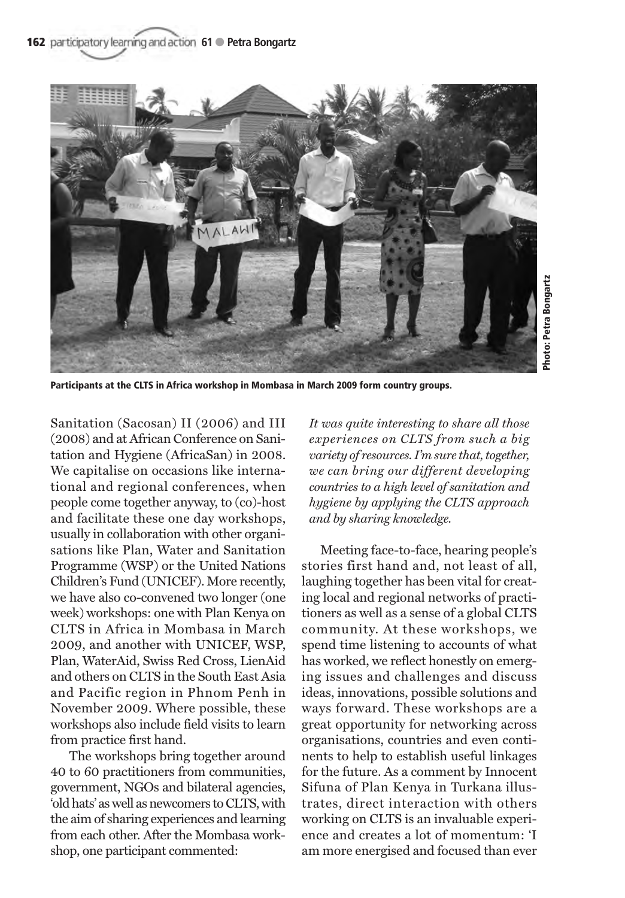

**Participants at the CLTS in Africa workshop in Mombasa in March 2009 form country groups.**

Sanitation (Sacosan) II (2006) and III (2008) and at African Conference on Sanitation and Hygiene (AfricaSan) in 2008. We capitalise on occasions like international and regional conferences, when people come together anyway, to (co)-host and facilitate these one day workshops, usually in collaboration with other organisations like Plan, Water and Sanitation Programme (WSP) or the United Nations Children's Fund (UNICEF). More recently, we have also co-convened two longer (one week) workshops: one with Plan Kenya on CLTS in Africa in Mombasa in March 2009, and another with UNICEF, WSP, Plan, WaterAid, Swiss Red Cross, LienAid and others on CLTS in the South East Asia and Pacific region in Phnom Penh in November 2009. Where possible, these workshops also include field visits to learn from practice first hand.

The workshops bring together around 40 to 60 practitioners from communities, government, NGOs and bilateral agencies, 'old hats' as well as newcomers to CLTS, with the aim of sharing experiences and learning from each other. After the Mombasa workshop, one participant commented:

*It was quite interesting to share all those experiences on CLTS from such a big variety of resources. I'm sure that, together, we can bring our different developing countries to a high level of sanitation and hygiene by applying the CLTS approach and by sharing knowledge.* 

Meeting face-to-face, hearing people's stories first hand and, not least of all, laughing together has been vital for creating local and regional networks of practitioners as well as a sense of a global CLTS community. At these workshops, we spend time listening to accounts of what has worked, we reflect honestly on emerging issues and challenges and discuss ideas, innovations, possible solutions and ways forward. These workshops are a great opportunity for networking across organisations, countries and even continents to help to establish useful linkages for the future. As a comment by Innocent Sifuna of Plan Kenya in Turkana illustrates, direct interaction with others working on CLTS is an invaluable experience and creates a lot of momentum: 'I am more energised and focused than ever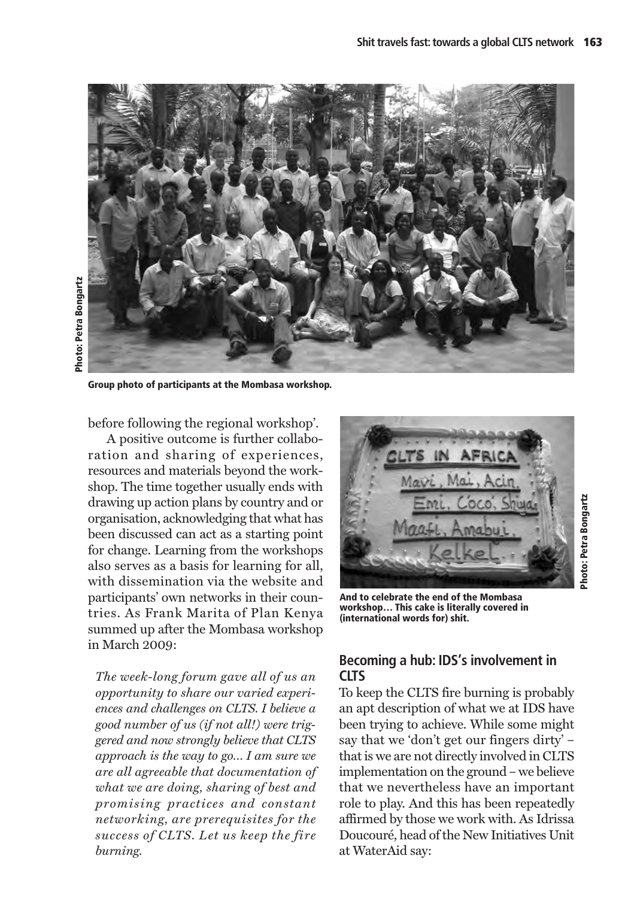

**Group photo of participants at the Mombasa workshop.**

before following the regional workshop'.

A positive outcome is further collaboration and sharing of experiences, resources and materials beyond the workshop. The time together usually ends with drawing up action plans by country and or organisation, acknowledging that what has been discussed can act as a starting point for change. Learning from the workshops also serves as a basis for learning for all, with dissemination via the website and participants' own networks in their countries. As Frank Marita of Plan Kenya summed up after the Mombasa workshop in March 2009:

*The week-long forum gave all of us an opportunity to share our varied experiences and challenges on CLTS. I believe a good number of us (if not all!) were triggered and now strongly believe that CLTS approach is the way to go… I am sure we are all agreeable that documentation of what we are doing, sharing of best and promising practices and constant networking, are prerequisites for the success of CLTS. Let us keep the fire burning.* 



**And to celebrate the end of the Mombasa workshop… This cake is literally covered in (international words for) shit.**

# **Becoming a hub: IDS's involvement in CLTS**

To keep the CLTS fire burning is probably an apt description of what we at IDS have been trying to achieve. While some might say that we 'don't get our fingers dirty' – that is we are not directly involved in CLTS implementation on the ground – we believe that we nevertheless have an important role to play. And this has been repeatedly affirmed by those we work with. As Idrissa Doucouré, head of the New Initiatives Unit at WaterAid say: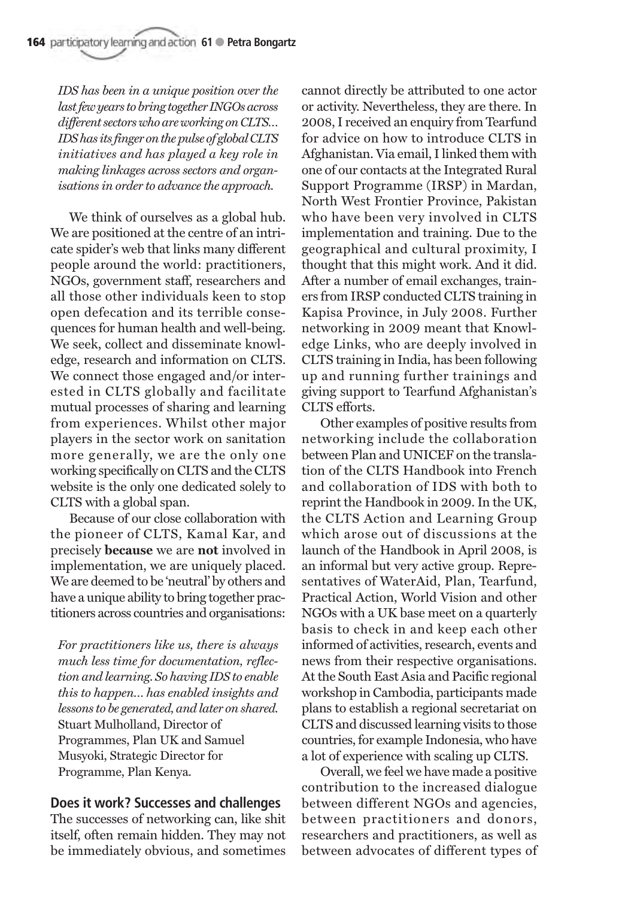*IDS has been in a unique position over the last few years to bring together INGOs across different sectors who are working on CLTS… IDS has its finger on the pulse of global CLTS initiatives and has played a key role in making linkages across sectors and organisations in order to advance the approach.* 

We think of ourselves as a global hub. We are positioned at the centre of an intricate spider's web that links many different people around the world: practitioners, NGOs, government staff, researchers and all those other individuals keen to stop open defecation and its terrible consequences for human health and well-being. We seek, collect and disseminate knowledge, research and information on CLTS. We connect those engaged and/or interested in CLTS globally and facilitate mutual processes of sharing and learning from experiences. Whilst other major players in the sector work on sanitation more generally, we are the only one working specifically on CLTS and the CLTS website is the only one dedicated solely to CLTS with a global span.

Because of our close collaboration with the pioneer of CLTS, Kamal Kar, and precisely **because** we are **not** involved in implementation, we are uniquely placed. We are deemed to be 'neutral' by others and have a unique ability to bring together practitioners across countries and organisations:

*For practitioners like us, there is always much less time for documentation, reflection and learning. So having IDS to enable this to happen… has enabled insights and lessons to be generated, and later on shared.*  Stuart Mulholland, Director of Programmes, Plan UK and Samuel Musyoki, Strategic Director for Programme, Plan Kenya.

### **Does it work? Successes and challenges**

The successes of networking can, like shit itself, often remain hidden. They may not be immediately obvious, and sometimes

cannot directly be attributed to one actor or activity. Nevertheless, they are there. In 2008, I received an enquiry from Tearfund for advice on how to introduce CLTS in Afghanistan. Via email, I linked them with one of our contacts at the Integrated Rural Support Programme (IRSP) in Mardan, North West Frontier Province, Pakistan who have been very involved in CLTS implementation and training. Due to the geographical and cultural proximity, I thought that this might work. And it did. After a number of email exchanges, trainers from IRSP conducted CLTS training in Kapisa Province, in July 2008. Further networking in 2009 meant that Knowledge Links, who are deeply involved in CLTS training in India, has been following up and running further trainings and giving support to Tearfund Afghanistan's CLTS efforts.

Other examples of positive results from networking include the collaboration between Plan and UNICEF on the translation of the CLTS Handbook into French and collaboration of IDS with both to reprint the Handbook in 2009. In the UK, the CLTS Action and Learning Group which arose out of discussions at the launch of the Handbook in April 2008, is an informal but very active group. Representatives of WaterAid, Plan, Tearfund, Practical Action, World Vision and other NGOs with a UK base meet on a quarterly basis to check in and keep each other informed of activities, research, events and news from their respective organisations. At the South East Asia and Pacific regional workshop in Cambodia, participants made plans to establish a regional secretariat on CLTS and discussed learning visits to those countries, for example Indonesia, who have a lot of experience with scaling up CLTS.

Overall, we feel we have made a positive contribution to the increased dialogue between different NGOs and agencies, between practitioners and donors, researchers and practitioners, as well as between advocates of different types of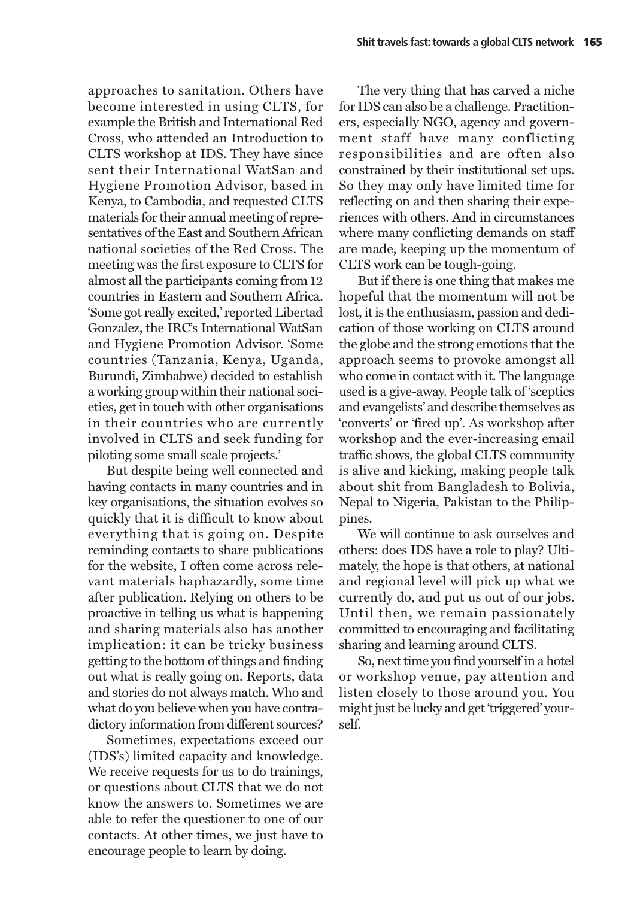approaches to sanitation. Others have become interested in using CLTS, for example the British and International Red Cross, who attended an Introduction to CLTS workshop at IDS. They have since sent their International WatSan and Hygiene Promotion Advisor, based in Kenya, to Cambodia, and requested CLTS materials for their annual meeting of representatives of the East and Southern African national societies of the Red Cross. The meeting was the first exposure to CLTS for almost all the participants coming from 12 countries in Eastern and Southern Africa. 'Some got really excited,' reported Libertad Gonzalez, the IRC's International WatSan and Hygiene Promotion Advisor. 'Some countries (Tanzania, Kenya, Uganda, Burundi, Zimbabwe) decided to establish a working group within their national societies, get in touch with other organisations in their countries who are currently involved in CLTS and seek funding for piloting some small scale projects.'

But despite being well connected and having contacts in many countries and in key organisations, the situation evolves so quickly that it is difficult to know about everything that is going on. Despite reminding contacts to share publications for the website, I often come across relevant materials haphazardly, some time after publication. Relying on others to be proactive in telling us what is happening and sharing materials also has another implication: it can be tricky business getting to the bottom of things and finding out what is really going on. Reports, data and stories do not always match. Who and what do you believe when you have contradictory information from different sources?

Sometimes, expectations exceed our (IDS's) limited capacity and knowledge. We receive requests for us to do trainings, or questions about CLTS that we do not know the answers to. Sometimes we are able to refer the questioner to one of our contacts. At other times, we just have to encourage people to learn by doing.

The very thing that has carved a niche for IDS can also be a challenge. Practitioners, especially NGO, agency and government staff have many conflicting responsibilities and are often also constrained by their institutional set ups. So they may only have limited time for reflecting on and then sharing their experiences with others. And in circumstances where many conflicting demands on staff are made, keeping up the momentum of CLTS work can be tough-going.

But if there is one thing that makes me hopeful that the momentum will not be lost, it is the enthusiasm, passion and dedication of those working on CLTS around the globe and the strong emotions that the approach seems to provoke amongst all who come in contact with it. The language used is a give-away. People talk of 'sceptics and evangelists' and describe themselves as 'converts' or 'fired up'. As workshop after workshop and the ever-increasing email traffic shows, the global CLTS community is alive and kicking, making people talk about shit from Bangladesh to Bolivia, Nepal to Nigeria, Pakistan to the Philippines.

We will continue to ask ourselves and others: does IDS have a role to play? Ultimately, the hope is that others, at national and regional level will pick up what we currently do, and put us out of our jobs. Until then, we remain passionately committed to encouraging and facilitating sharing and learning around CLTS.

So, next time you find yourself in a hotel or workshop venue, pay attention and listen closely to those around you. You might just be lucky and get 'triggered' yourself.